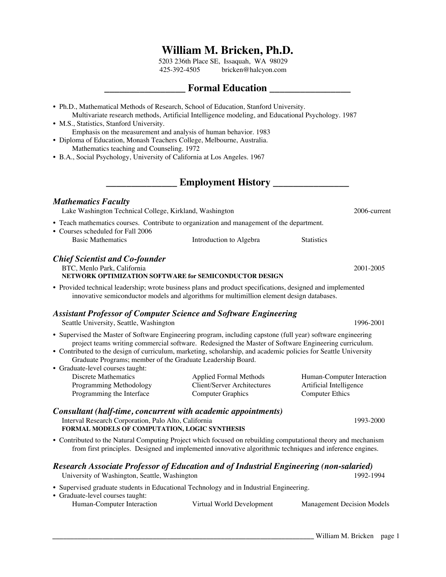## **William M. Bricken, Ph.D.**

5203 236th Place SE, Issaquah, WA 98029 425-392-4505 bricken@halcyon.com

## **Formal Education Exercise 3**

| • Ph.D., Mathematical Methods of Research, School of Education, Stanford University.<br>• M.S., Statistics, Stanford University.<br>• Diploma of Education, Monash Teachers College, Melbourne, Australia.<br>Mathematics teaching and Counseling. 1972<br>• B.A., Social Psychology, University of California at Los Angeles. 1967 | Multivariate research methods, Artificial Intelligence modeling, and Educational Psychology. 1987<br>Emphasis on the measurement and analysis of human behavior. 1983 |                            |              |
|-------------------------------------------------------------------------------------------------------------------------------------------------------------------------------------------------------------------------------------------------------------------------------------------------------------------------------------|-----------------------------------------------------------------------------------------------------------------------------------------------------------------------|----------------------------|--------------|
|                                                                                                                                                                                                                                                                                                                                     | <b>Employment History</b>                                                                                                                                             |                            |              |
| <b>Mathematics Faculty</b><br>Lake Washington Technical College, Kirkland, Washington                                                                                                                                                                                                                                               |                                                                                                                                                                       |                            | 2006-current |
| • Teach mathematics courses. Contribute to organization and management of the department.<br>• Courses scheduled for Fall 2006<br><b>Basic Mathematics</b>                                                                                                                                                                          | Introduction to Algebra                                                                                                                                               | <b>Statistics</b>          |              |
| <b>Chief Scientist and Co-founder</b><br>BTC, Menlo Park, California                                                                                                                                                                                                                                                                | NETWORK OPTIMIZATION SOFTWARE for SEMICONDUCTOR DESIGN                                                                                                                |                            | 2001-2005    |
| • Provided technical leadership; wrote business plans and product specifications, designed and implemented                                                                                                                                                                                                                          | innovative semiconductor models and algorithms for multimillion element design databases.                                                                             |                            |              |
| <b>Assistant Professor of Computer Science and Software Engineering</b><br>Seattle University, Seattle, Washington                                                                                                                                                                                                                  |                                                                                                                                                                       |                            | 1996-2001    |
| • Supervised the Master of Software Engineering program, including capstone (full year) software engineering<br>• Contributed to the design of curriculum, marketing, scholarship, and academic policies for Seattle University<br>Graduate Programs; member of the Graduate Leadership Board.<br>• Graduate-level courses taught:  | project teams writing commercial software. Redesigned the Master of Software Engineering curriculum.                                                                  |                            |              |
| <b>Discrete Mathematics</b>                                                                                                                                                                                                                                                                                                         | <b>Applied Formal Methods</b>                                                                                                                                         | Human-Computer Interaction |              |

| Programming Methodology   | Client/Server Architectures | Artificial Intelligence |
|---------------------------|-----------------------------|-------------------------|
| Programming the Interface | Computer Graphics           | <b>Computer Ethics</b>  |
|                           |                             |                         |

*Consultant (half-time, concurrent with academic appointments)* Interval Research Corporation, Palo Alto, California 1993-2000 **FORMAL MODELS OF COMPUTATION, LOGIC SYNTHESIS**

• Contributed to the Natural Computing Project which focused on rebuilding computational theory and mechanism from first principles. Designed and implemented innovative algorithmic techniques and inference engines.

## *Research Associate Professor of Education and of Industrial Engineering (non-salaried)*

University of Washington, Seattle, Washington 1992-1994

- Supervised graduate students in Educational Technology and in Industrial Engineering.
- Graduate-level courses taught:

| Human-Computer Interaction | Virtual World Development | <b>Management Decision Models</b> |
|----------------------------|---------------------------|-----------------------------------|